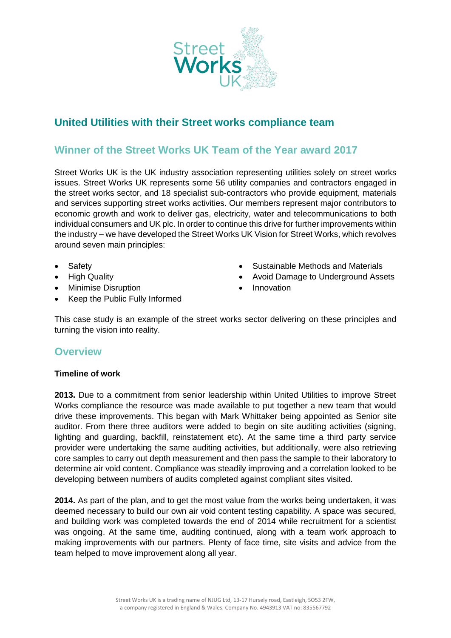

## **United Utilities with their Street works compliance team**

## **Winner of the Street Works UK Team of the Year award 2017**

Street Works UK is the UK industry association representing utilities solely on street works issues. Street Works UK represents some 56 utility companies and contractors engaged in the street works sector, and 18 specialist sub-contractors who provide equipment, materials and services supporting street works activities. Our members represent major contributors to economic growth and work to deliver gas, electricity, water and telecommunications to both individual consumers and UK plc. In order to continue this drive for further improvements within the industry – we have developed the Street Works UK Vision for Street Works, which revolves around seven main principles:

- Safety
- High Quality
- Minimise Disruption
- Keep the Public Fully Informed
- Sustainable Methods and Materials
- Avoid Damage to Underground Assets
- Innovation

This case study is an example of the street works sector delivering on these principles and turning the vision into reality.

## **Overview**

## **Timeline of work**

**2013.** Due to a commitment from senior leadership within United Utilities to improve Street Works compliance the resource was made available to put together a new team that would drive these improvements. This began with Mark Whittaker being appointed as Senior site auditor. From there three auditors were added to begin on site auditing activities (signing, lighting and guarding, backfill, reinstatement etc). At the same time a third party service provider were undertaking the same auditing activities, but additionally, were also retrieving core samples to carry out depth measurement and then pass the sample to their laboratory to determine air void content. Compliance was steadily improving and a correlation looked to be developing between numbers of audits completed against compliant sites visited.

**2014.** As part of the plan, and to get the most value from the works being undertaken, it was deemed necessary to build our own air void content testing capability. A space was secured, and building work was completed towards the end of 2014 while recruitment for a scientist was ongoing. At the same time, auditing continued, along with a team work approach to making improvements with our partners. Plenty of face time, site visits and advice from the team helped to move improvement along all year.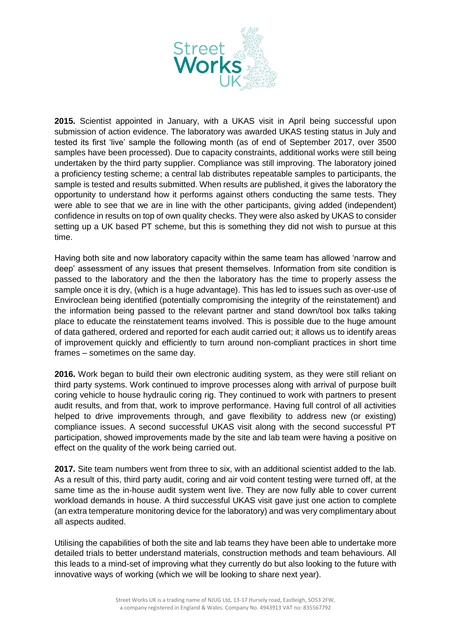

**2015.** Scientist appointed in January, with a UKAS visit in April being successful upon submission of action evidence. The laboratory was awarded UKAS testing status in July and tested its first 'live' sample the following month (as of end of September 2017, over 3500 samples have been processed). Due to capacity constraints, additional works were still being undertaken by the third party supplier. Compliance was still improving. The laboratory joined a proficiency testing scheme; a central lab distributes repeatable samples to participants, the sample is tested and results submitted. When results are published, it gives the laboratory the opportunity to understand how it performs against others conducting the same tests. They were able to see that we are in line with the other participants, giving added (independent) confidence in results on top of own quality checks. They were also asked by UKAS to consider setting up a UK based PT scheme, but this is something they did not wish to pursue at this time.

Having both site and now laboratory capacity within the same team has allowed 'narrow and deep' assessment of any issues that present themselves. Information from site condition is passed to the laboratory and the then the laboratory has the time to properly assess the sample once it is dry, (which is a huge advantage). This has led to issues such as over-use of Enviroclean being identified (potentially compromising the integrity of the reinstatement) and the information being passed to the relevant partner and stand down/tool box talks taking place to educate the reinstatement teams involved. This is possible due to the huge amount of data gathered, ordered and reported for each audit carried out; it allows us to identify areas of improvement quickly and efficiently to turn around non-compliant practices in short time frames – sometimes on the same day.

**2016.** Work began to build their own electronic auditing system, as they were still reliant on third party systems. Work continued to improve processes along with arrival of purpose built coring vehicle to house hydraulic coring rig. They continued to work with partners to present audit results, and from that, work to improve performance. Having full control of all activities helped to drive improvements through, and gave flexibility to address new (or existing) compliance issues. A second successful UKAS visit along with the second successful PT participation, showed improvements made by the site and lab team were having a positive on effect on the quality of the work being carried out.

**2017.** Site team numbers went from three to six, with an additional scientist added to the lab. As a result of this, third party audit, coring and air void content testing were turned off, at the same time as the in-house audit system went live. They are now fully able to cover current workload demands in house. A third successful UKAS visit gave just one action to complete (an extra temperature monitoring device for the laboratory) and was very complimentary about all aspects audited.

Utilising the capabilities of both the site and lab teams they have been able to undertake more detailed trials to better understand materials, construction methods and team behaviours. All this leads to a mind-set of improving what they currently do but also looking to the future with innovative ways of working (which we will be looking to share next year).